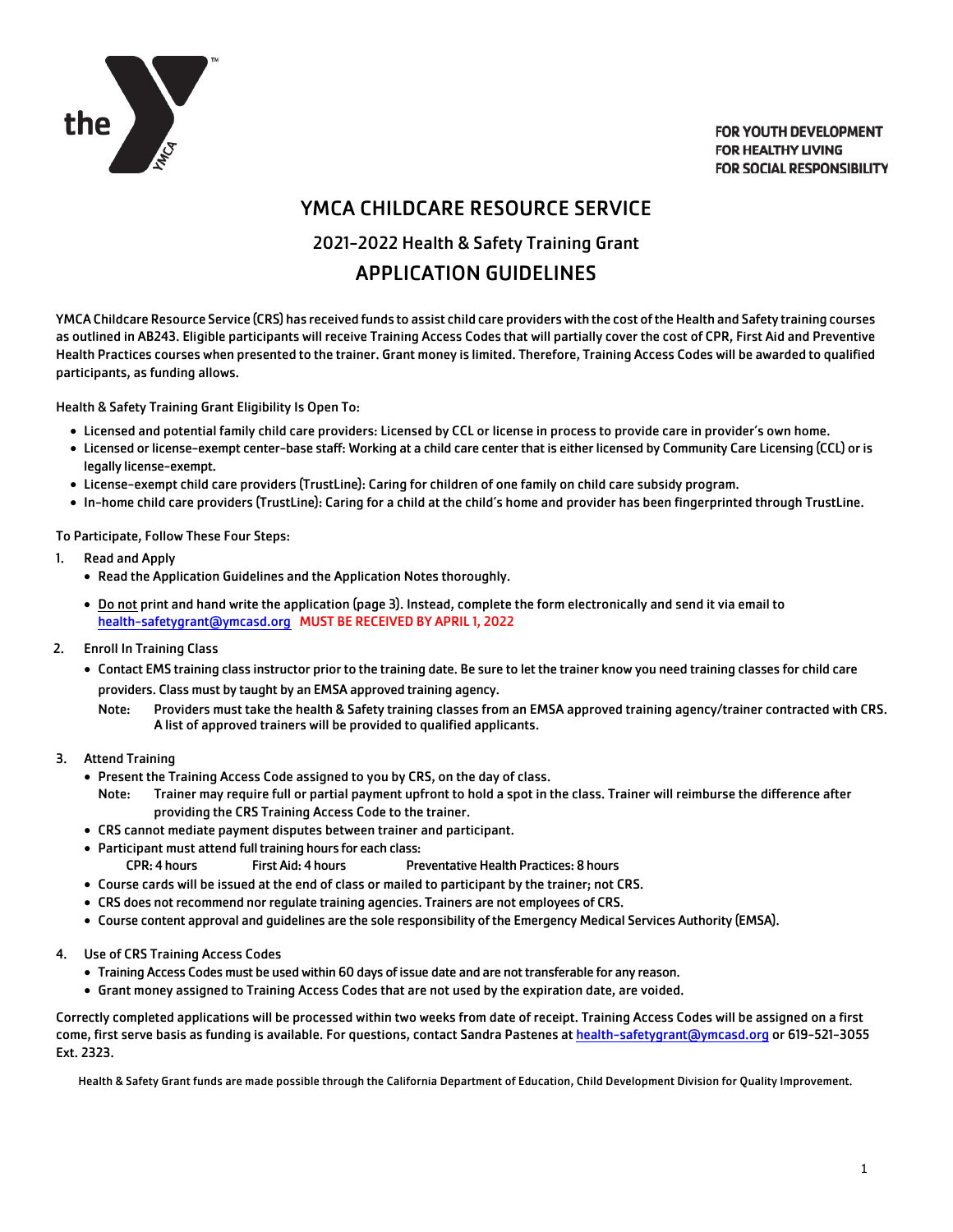

**FOR YOUTH DEVELOPMENT FOR HEALTHY LIVING FOR SOCIAL RESPONSIBILITY** 

# YMCA CHILDCARE RESOURCE SERVICE 2021-2022 Health & Safety Training Grant APPLICATION GUIDELINES

YMCA Childcare Resource Service (CRS) has received funds to assist child care providers with the cost of the Health and Safety training courses as outlined in AB243. Eligible participants will receive Training Access Codes that will partially cover the cost of CPR, First Aid and Preventive Health Practices courses when presented to the trainer. Grant money is limited. Therefore, Training Access Codes will be awarded to qualified participants, as funding allows.

Health & Safety Training Grant Eligibility Is Open To:

- Licensed and potential family child care providers: Licensed by CCL or license in process to provide care in provider's own home.
- Licensed or license-exempt center-base staff: Working at a child care center that is either licensed by Community Care Licensing (CCL) or is legally license-exempt.
- License-exempt child care providers (TrustLine): Caring for children of one family on child care subsidy program.
- In-home child care providers (TrustLine): Caring for a child at the child's home and provider has been fingerprinted through TrustLine.

To Participate, Follow These Four Steps:

- 1. Read and Apply
	- Read the Application Guidelines and the Application Notes thoroughly.
	- Do not print and hand write the application (page 3). Instead, complete the form electronically and send it via email to health-safetygrant@ymcasd.org MUST BE RECEIVED BY APRIL 1, 2022
- 2. Enroll In Training Class
	- Contact EMS training class instructor prior to the training date. Be sure to let the trainer know you need training classes for child care providers. Class must by taught by an EMSA approved training agency.
		- Note: Providers must take the health & Safety training classes from an EMSA approved training agency/trainer contracted with CRS. A list of approved trainers will be provided to qualified applicants.
- 3. Attend Training
	- Present the Training Access Code assigned to you by CRS, on the day of class.
		- Note: Trainer may require full or partial payment upfront to hold a spot in the class. Trainer will reimburse the difference after providing the CRS Training Access Code to the trainer.
	- CRS cannot mediate payment disputes between trainer and participant.
	- Participant must attend full training hours for each class: CPR: 4 hours First Aid: 4 hours Preventative Health Practices: 8 hours
	- Course cards will be issued at the end of class or mailed to participant by the trainer; not CRS.
	- CRS does not recommend nor regulate training agencies. Trainers are not employees of CRS.
	- Course content approval and guidelines are the sole responsibility of the Emergency Medical Services Authority (EMSA).
- 4. Use of CRS Training Access Codes
	- Training Access Codes must be used within 60 days of issue date and are not transferable for any reason.
	- Grant money assigned to Training Access Codes that are not used by the expiration date, are voided.

Correctly completed applications will be processed within two weeks from date of receipt. Training Access Codes will be assigned on a first come, first serve basis as funding is available. For questions, contact Sandra Pastenes at health-safetygrant@ymcasd.org or 619-521-3055 Ext. 2323.

Health & Safety Grant funds are made possible through the California Department of Education, Child Development Division for Quality Improvement.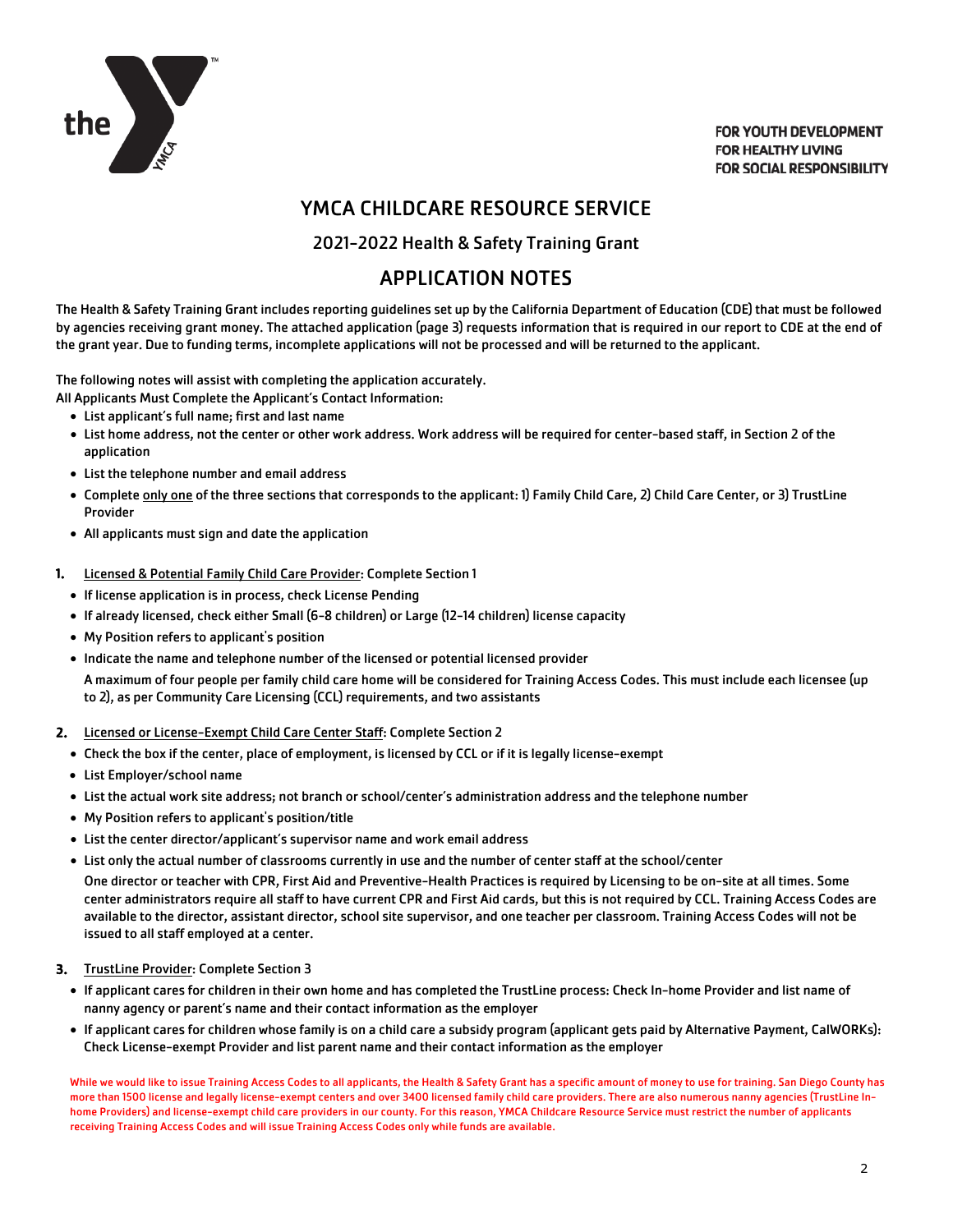

**FOR YOUTH DEVELOPMENT FOR HEALTHY LIVING FOR SOCIAL RESPONSIBILITY** 

# YMCA CHILDCARE RESOURCE SERVICE

### 2021-2022 Health & Safety Training Grant

# APPLICATION NOTES

The Health & Safety Training Grant includes reporting guidelines set up by the California Department of Education (CDE) that must be followed by agencies receiving grant money. The attached application (page 3) requests information that is required in our report to CDE at the end of the grant year. Due to funding terms, incomplete applications will not be processed and will be returned to the applicant.

The following notes will assist with completing the application accurately.

All Applicants Must Complete the Applicant's Contact Information:

- List applicant's full name; first and last name
- List home address, not the center or other work address. Work address will be required for center-based staff, in Section 2 of the application
- List the telephone number and email address
- Complete only one of the three sections that corresponds to the applicant: 1) Family Child Care, 2) Child Care Center, or 3) TrustLine Provider
- All applicants must sign and date the application
- 1. Licensed & Potential Family Child Care Provider: Complete Section 1
	- If license application is in process, check License Pending
	- If already licensed, check either Small (6-8 children) or Large (12-14 children) license capacity
	- My Position refers to applicant's position
	- Indicate the name and telephone number of the licensed or potential licensed provider

A maximum of four people per family child care home will be considered for Training Access Codes. This must include each licensee (up to 2), as per Community Care Licensing (CCL) requirements, and two assistants

- 2. Licensed or License-Exempt Child Care Center Staff: Complete Section 2
	- Check the box if the center, place of employment, is licensed by CCL or if it is legally license-exempt
	- List Employer/school name
	- List the actual work site address; not branch or school/center's administration address and the telephone number
	- My Position refers to applicant's position/title
	- List the center director/applicant's supervisor name and work email address
	- List only the actual number of classrooms currently in use and the number of center staff at the school/center

One director or teacher with CPR, First Aid and Preventive-Health Practices is required by Licensing to be on-site at all times. Some center administrators require all staff to have current CPR and First Aid cards, but this is not required by CCL. Training Access Codes are available to the director, assistant director, school site supervisor, and one teacher per classroom. Training Access Codes will not be issued to all staff employed at a center.

#### 3. TrustLine Provider: Complete Section 3

- If applicant cares for children in their own home and has completed the TrustLine process: Check In-home Provider and list name of nanny agency or parent's name and their contact information as the employer
- If applicant cares for children whose family is on a child care a subsidy program (applicant gets paid by Alternative Payment, CalWORKs): Check License-exempt Provider and list parent name and their contact information as the employer

While we would like to issue Training Access Codes to all applicants, the Health & Safety Grant has a specific amount of money to use for training. San Diego County has more than 1500 license and legally license-exempt centers and over 3400 licensed family child care providers. There are also numerous nanny agencies (TrustLine Inhome Providers) and license-exempt child care providers in our county. For this reason, YMCA Childcare Resource Service must restrict the number of applicants receiving Training Access Codes and will issue Training Access Codes only while funds are available.